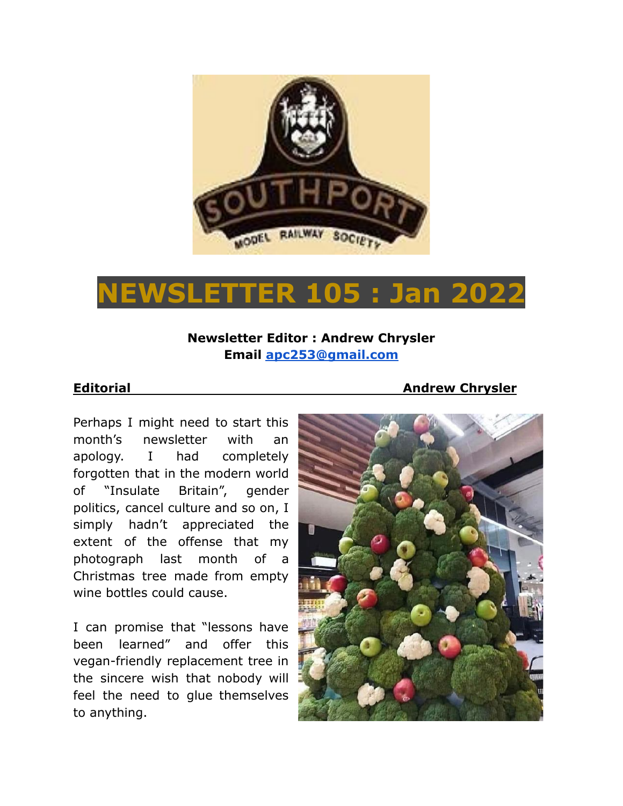

# **NEWSLETTER 105 : Jan 2022**

### **Newsletter Editor : Andrew Chrysler Email [apc253@gmail.com](mailto:apc253@gmail.com)**

**Editorial Andrew Chrysler**

Perhaps I might need to start this month's newsletter with an apology. I had completely forgotten that in the modern world of "Insulate Britain", gender politics, cancel culture and so on, I simply hadn't appreciated the extent of the offense that my photograph last month of a Christmas tree made from empty wine bottles could cause.

I can promise that "lessons have been learned" and offer this vegan-friendly replacement tree in the sincere wish that nobody will feel the need to glue themselves to anything.

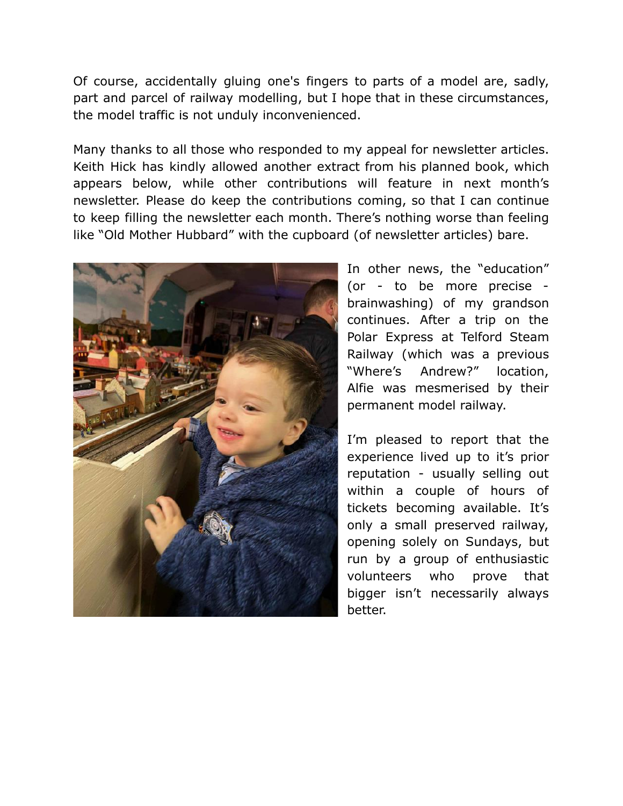Of course, accidentally gluing one's fingers to parts of a model are, sadly, part and parcel of railway modelling, but I hope that in these circumstances, the model traffic is not unduly inconvenienced.

Many thanks to all those who responded to my appeal for newsletter articles. Keith Hick has kindly allowed another extract from his planned book, which appears below, while other contributions will feature in next month's newsletter. Please do keep the contributions coming, so that I can continue to keep filling the newsletter each month. There's nothing worse than feeling like "Old Mother Hubbard" with the cupboard (of newsletter articles) bare.



In other news, the "education" (or - to be more precise brainwashing) of my grandson continues. After a trip on the Polar Express at Telford Steam Railway (which was a previous "Where's Andrew?" location, Alfie was mesmerised by their permanent model railway.

I'm pleased to report that the experience lived up to it's prior reputation - usually selling out within a couple of hours of tickets becoming available. It's only a small preserved railway, opening solely on Sundays, but run by a group of enthusiastic volunteers who prove that bigger isn't necessarily always better.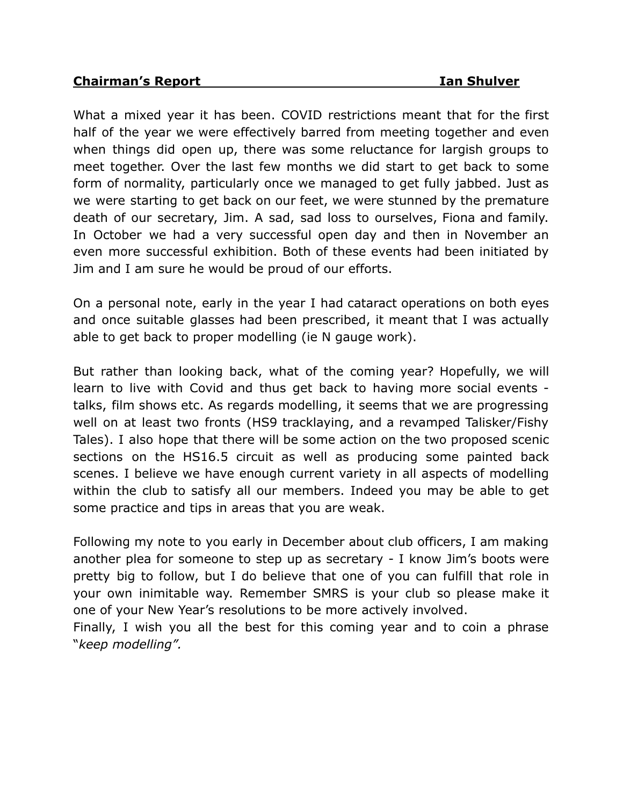What a mixed year it has been. COVID restrictions meant that for the first half of the year we were effectively barred from meeting together and even when things did open up, there was some reluctance for largish groups to meet together. Over the last few months we did start to get back to some form of normality, particularly once we managed to get fully jabbed. Just as we were starting to get back on our feet, we were stunned by the premature death of our secretary, Jim. A sad, sad loss to ourselves, Fiona and family. In October we had a very successful open day and then in November an even more successful exhibition. Both of these events had been initiated by Jim and I am sure he would be proud of our efforts.

On a personal note, early in the year I had cataract operations on both eyes and once suitable glasses had been prescribed, it meant that I was actually able to get back to proper modelling (ie N gauge work).

But rather than looking back, what of the coming year? Hopefully, we will learn to live with Covid and thus get back to having more social events talks, film shows etc. As regards modelling, it seems that we are progressing well on at least two fronts (HS9 tracklaying, and a revamped Talisker/Fishy Tales). I also hope that there will be some action on the two proposed scenic sections on the HS16.5 circuit as well as producing some painted back scenes. I believe we have enough current variety in all aspects of modelling within the club to satisfy all our members. Indeed you may be able to get some practice and tips in areas that you are weak.

Following my note to you early in December about club officers, I am making another plea for someone to step up as secretary - I know Jim's boots were pretty big to follow, but I do believe that one of you can fulfill that role in your own inimitable way. Remember SMRS is your club so please make it one of your New Year's resolutions to be more actively involved.

Finally, I wish you all the best for this coming year and to coin a phrase "*keep modelling".*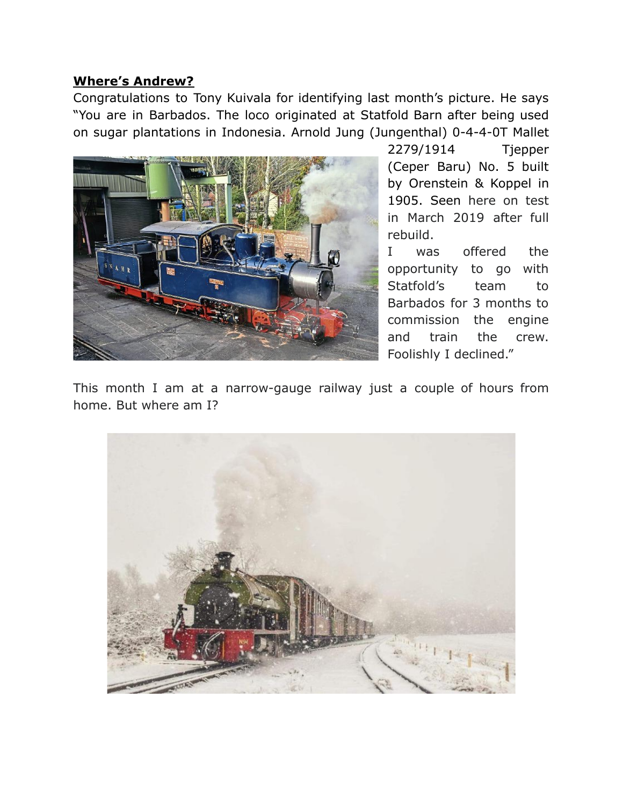#### **Where's Andrew?**

Congratulations to Tony Kuivala for identifying last month's picture. He says "You are in Barbados. The loco originated at Statfold Barn after being used on sugar plantations in Indonesia. Arnold Jung (Jungenthal) 0-4-4-0T Mallet



2279/1914 Tjepper (Ceper Baru) No. 5 built by Orenstein & Koppel in 1905. Seen here on test in March 2019 after full rebuild.

I was offered the opportunity to go with Statfold's team to Barbados for 3 months to commission the engine and train the crew. Foolishly I declined."

This month I am at a narrow-gauge railway just a couple of hours from home. But where am I?

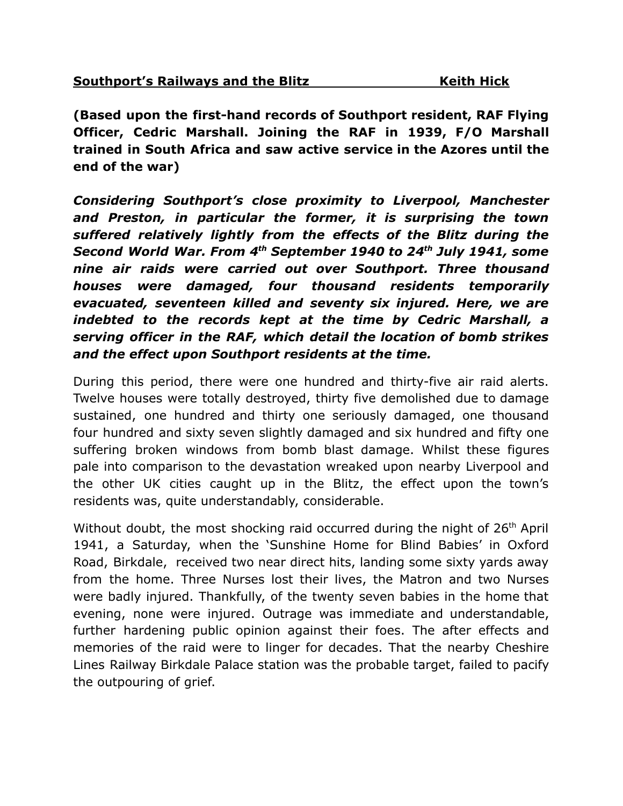**(Based upon the first-hand records of Southport resident, RAF Flying Officer, Cedric Marshall. Joining the RAF in 1939, F/O Marshall trained in South Africa and saw active service in the Azores until the end of the war)**

*Considering Southport's close proximity to Liverpool, Manchester and Preston, in particular the former, it is surprising the town suffered relatively lightly from the effects of the Blitz during the Second World War. From 4 th September 1940 to 24th July 1941, some nine air raids were carried out over Southport. Three thousand houses were damaged, four thousand residents temporarily evacuated, seventeen killed and seventy six injured. Here, we are indebted to the records kept at the time by Cedric Marshall, a serving officer in the RAF, which detail the location of bomb strikes and the effect upon Southport residents at the time.*

During this period, there were one hundred and thirty-five air raid alerts. Twelve houses were totally destroyed, thirty five demolished due to damage sustained, one hundred and thirty one seriously damaged, one thousand four hundred and sixty seven slightly damaged and six hundred and fifty one suffering broken windows from bomb blast damage. Whilst these figures pale into comparison to the devastation wreaked upon nearby Liverpool and the other UK cities caught up in the Blitz, the effect upon the town's residents was, quite understandably, considerable.

Without doubt, the most shocking raid occurred during the night of 26<sup>th</sup> April 1941, a Saturday, when the 'Sunshine Home for Blind Babies' in Oxford Road, Birkdale, received two near direct hits, landing some sixty yards away from the home. Three Nurses lost their lives, the Matron and two Nurses were badly injured. Thankfully, of the twenty seven babies in the home that evening, none were injured. Outrage was immediate and understandable, further hardening public opinion against their foes. The after effects and memories of the raid were to linger for decades. That the nearby Cheshire Lines Railway Birkdale Palace station was the probable target, failed to pacify the outpouring of grief.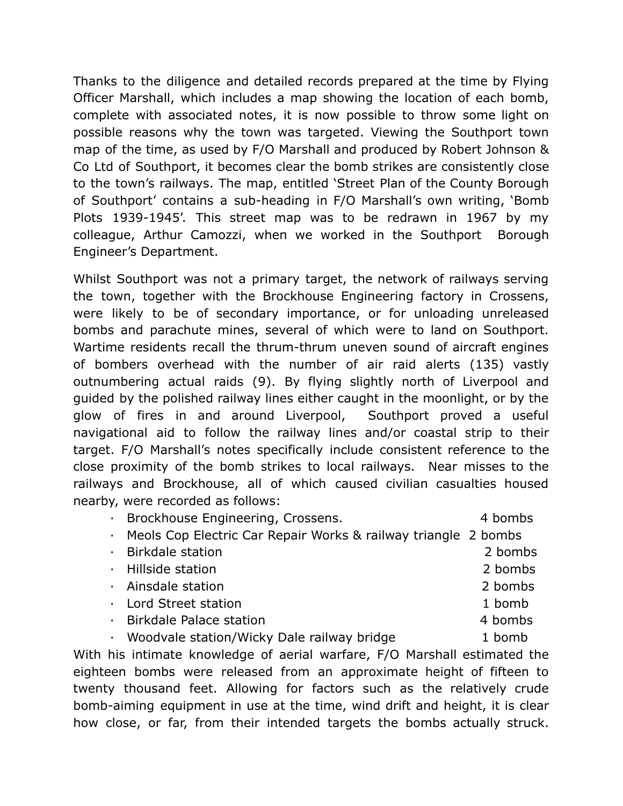Thanks to the diligence and detailed records prepared at the time by Flying Officer Marshall, which includes a map showing the location of each bomb, complete with associated notes, it is now possible to throw some light on possible reasons why the town was targeted. Viewing the Southport town map of the time, as used by F/O Marshall and produced by Robert Johnson & Co Ltd of Southport, it becomes clear the bomb strikes are consistently close to the town's railways. The map, entitled 'Street Plan of the County Borough of Southport' contains a sub-heading in F/O Marshall's own writing, 'Bomb Plots 1939-1945'. This street map was to be redrawn in 1967 by my colleague, Arthur Camozzi, when we worked in the Southport Borough Engineer's Department.

Whilst Southport was not a primary target, the network of railways serving the town, together with the Brockhouse Engineering factory in Crossens, were likely to be of secondary importance, or for unloading unreleased bombs and parachute mines, several of which were to land on Southport. Wartime residents recall the thrum-thrum uneven sound of aircraft engines of bombers overhead with the number of air raid alerts (135) vastly outnumbering actual raids (9). By flying slightly north of Liverpool and guided by the polished railway lines either caught in the moonlight, or by the glow of fires in and around Liverpool, Southport proved a useful navigational aid to follow the railway lines and/or coastal strip to their target. F/O Marshall's notes specifically include consistent reference to the close proximity of the bomb strikes to local railways. Near misses to the railways and Brockhouse, all of which caused civilian casualties housed nearby, were recorded as follows:

· Brockhouse Engineering, Crossens. 4 bombs

- · Meols Cop Electric Car Repair Works & railway triangle 2 bombs
- · Birkdale station 2 bombs
- · Hillside station 2 bombs
- · Ainsdale station 2 bombs
- · Lord Street station 1 bomb
- · Birkdale Palace station 4 bombs
- Woodvale station/Wicky Dale railway bridge 1 bomb

With his intimate knowledge of aerial warfare, F/O Marshall estimated the eighteen bombs were released from an approximate height of fifteen to twenty thousand feet. Allowing for factors such as the relatively crude bomb-aiming equipment in use at the time, wind drift and height, it is clear how close, or far, from their intended targets the bombs actually struck.

- 
- 
- 
-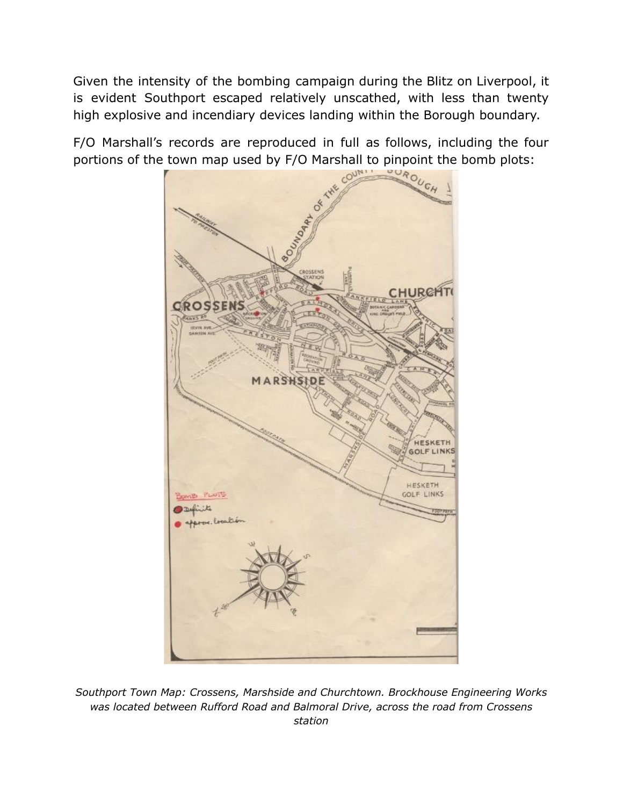Given the intensity of the bombing campaign during the Blitz on Liverpool, it is evident Southport escaped relatively unscathed, with less than twenty high explosive and incendiary devices landing within the Borough boundary.

F/O Marshall's records are reproduced in full as follows, including the four portions of the town map used by F/O Marshall to pinpoint the bomb plots:<br> **Example 2016** 



*Southport Town Map: Crossens, Marshside and Churchtown. Brockhouse Engineering Works was located between Rufford Road and Balmoral Drive, across the road from Crossens station*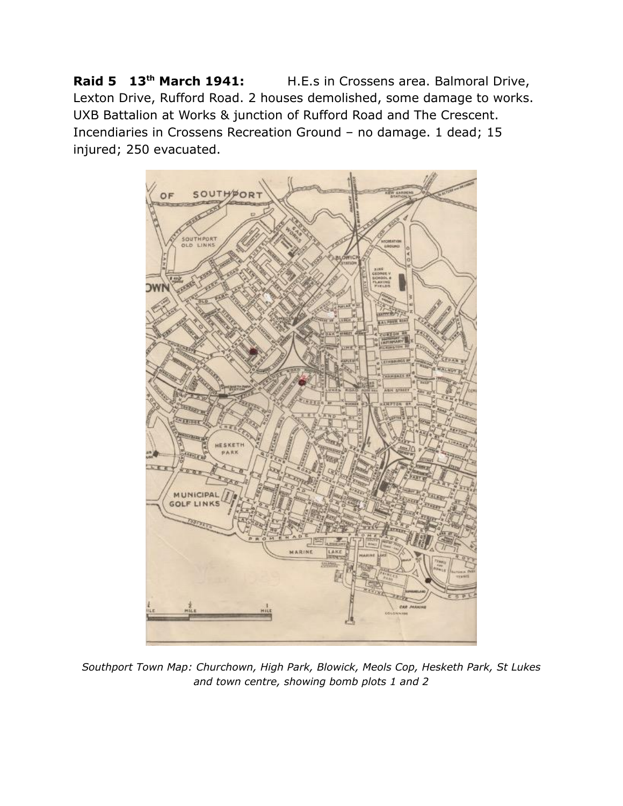**Raid 5 13th March 1941:** H.E.s in Crossens area. Balmoral Drive, Lexton Drive, Rufford Road. 2 houses demolished, some damage to works. UXB Battalion at Works & junction of Rufford Road and The Crescent. Incendiaries in Crossens Recreation Ground – no damage. 1 dead; 15 injured; 250 evacuated.



*Southport Town Map: Churchown, High Park, Blowick, Meols Cop, Hesketh Park, St Lukes and town centre, showing bomb plots 1 and 2*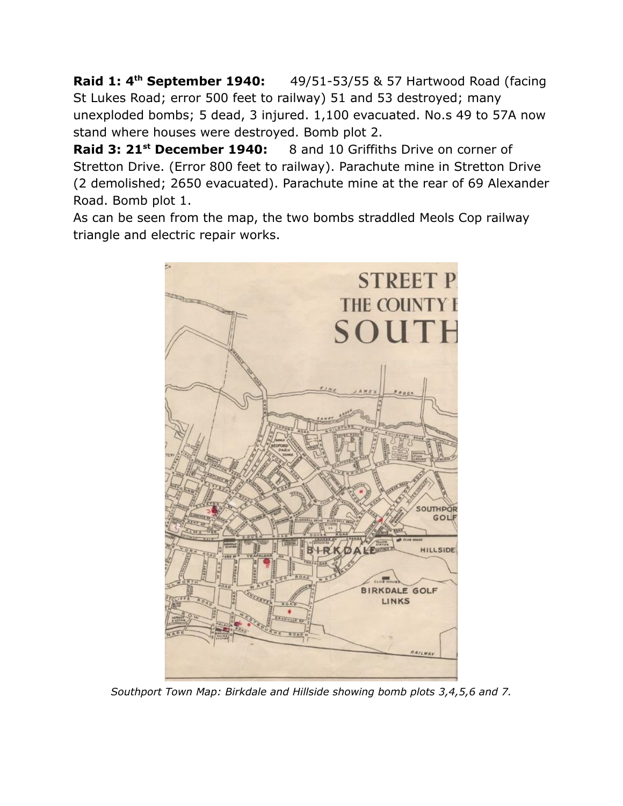**Raid 1: 4th September 1940:** 49/51-53/55 & 57 Hartwood Road (facing St Lukes Road; error 500 feet to railway) 51 and 53 destroyed; many unexploded bombs; 5 dead, 3 injured. 1,100 evacuated. No.s 49 to 57A now stand where houses were destroyed. Bomb plot 2.

**Raid 3: 21st December 1940:** 8 and 10 Griffiths Drive on corner of Stretton Drive. (Error 800 feet to railway). Parachute mine in Stretton Drive (2 demolished; 2650 evacuated). Parachute mine at the rear of 69 Alexander Road. Bomb plot 1.

As can be seen from the map, the two bombs straddled Meols Cop railway triangle and electric repair works.



*Southport Town Map: Birkdale and Hillside showing bomb plots 3,4,5,6 and 7.*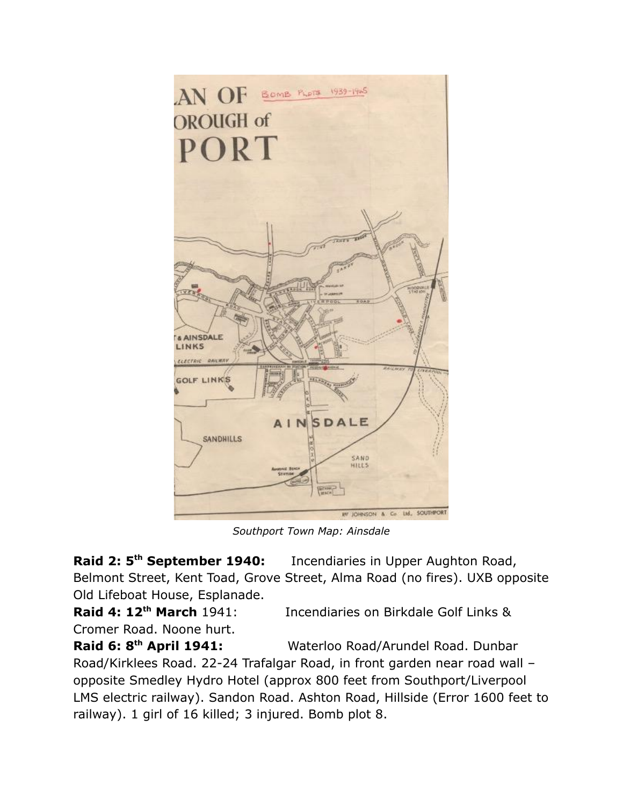

*Southport Town Map: Ainsdale*

**Raid 2: 5th September 1940:** Incendiaries in Upper Aughton Road, Belmont Street, Kent Toad, Grove Street, Alma Road (no fires). UXB opposite Old Lifeboat House, Esplanade.

**Raid 4: 12th March** 1941: Incendiaries on Birkdale Golf Links & Cromer Road. Noone hurt.

**Raid 6: 8th April 1941:** Waterloo Road/Arundel Road. Dunbar Road/Kirklees Road. 22-24 Trafalgar Road, in front garden near road wall – opposite Smedley Hydro Hotel (approx 800 feet from Southport/Liverpool LMS electric railway). Sandon Road. Ashton Road, Hillside (Error 1600 feet to railway). 1 girl of 16 killed; 3 injured. Bomb plot 8.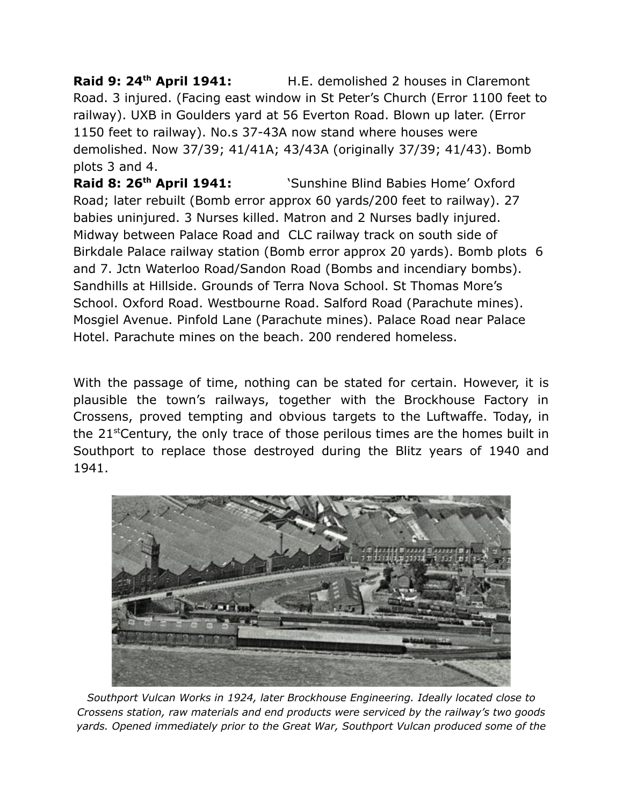**Raid 9: 24th April 1941:** H.E. demolished 2 houses in Claremont Road. 3 injured. (Facing east window in St Peter's Church (Error 1100 feet to railway). UXB in Goulders yard at 56 Everton Road. Blown up later. (Error 1150 feet to railway). No.s 37-43A now stand where houses were demolished. Now 37/39; 41/41A; 43/43A (originally 37/39; 41/43). Bomb plots 3 and 4.

**Raid 8: 26th April 1941:** 'Sunshine Blind Babies Home' Oxford Road; later rebuilt (Bomb error approx 60 yards/200 feet to railway). 27 babies uninjured. 3 Nurses killed. Matron and 2 Nurses badly injured. Midway between Palace Road and CLC railway track on south side of Birkdale Palace railway station (Bomb error approx 20 yards). Bomb plots 6 and 7. Jctn Waterloo Road/Sandon Road (Bombs and incendiary bombs). Sandhills at Hillside. Grounds of Terra Nova School. St Thomas More's School. Oxford Road. Westbourne Road. Salford Road (Parachute mines). Mosgiel Avenue. Pinfold Lane (Parachute mines). Palace Road near Palace Hotel. Parachute mines on the beach. 200 rendered homeless.

With the passage of time, nothing can be stated for certain. However, it is plausible the town's railways, together with the Brockhouse Factory in Crossens, proved tempting and obvious targets to the Luftwaffe. Today, in the 21stCentury, the only trace of those perilous times are the homes built in Southport to replace those destroyed during the Blitz years of 1940 and 1941.



*Southport Vulcan Works in 1924, later Brockhouse Engineering. Ideally located close to Crossens station, raw materials and end products were serviced by the railway's two goods yards. Opened immediately prior to the Great War, Southport Vulcan produced some of the*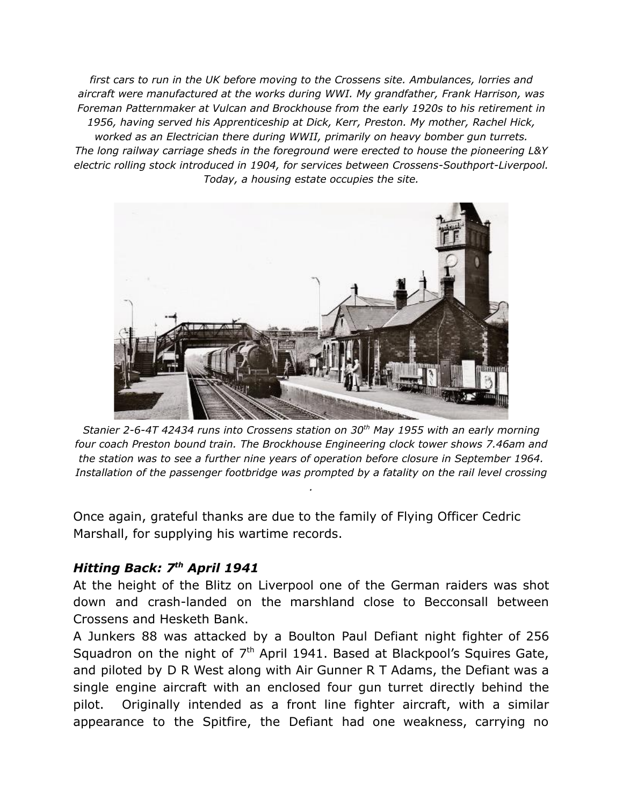*first cars to run in the UK before moving to the Crossens site. Ambulances, lorries and aircraft were manufactured at the works during WWI. My grandfather, Frank Harrison, was Foreman Patternmaker at Vulcan and Brockhouse from the early 1920s to his retirement in 1956, having served his Apprenticeship at Dick, Kerr, Preston. My mother, Rachel Hick, worked as an Electrician there during WWII, primarily on heavy bomber gun turrets. The long railway carriage sheds in the foreground were erected to house the pioneering L&Y electric rolling stock introduced in 1904, for services between Crossens-Southport-Liverpool. Today, a housing estate occupies the site.*



*Stanier 2-6-4T 42434 runs into Crossens station on 30 th May 1955 with an early morning four coach Preston bound train. The Brockhouse Engineering clock tower shows 7.46am and the station was to see a further nine years of operation before closure in September 1964. Installation of the passenger footbridge was prompted by a fatality on the rail level crossing*

*.*

Once again, grateful thanks are due to the family of Flying Officer Cedric Marshall, for supplying his wartime records.

### *Hitting Back: 7th April 1941*

At the height of the Blitz on Liverpool one of the German raiders was shot down and crash-landed on the marshland close to Becconsall between Crossens and Hesketh Bank.

A Junkers 88 was attacked by a Boulton Paul Defiant night fighter of 256 Squadron on the night of  $7<sup>th</sup>$  April 1941. Based at Blackpool's Squires Gate, and piloted by D R West along with Air Gunner R T Adams, the Defiant was a single engine aircraft with an enclosed four gun turret directly behind the pilot. Originally intended as a front line fighter aircraft, with a similar appearance to the Spitfire, the Defiant had one weakness, carrying no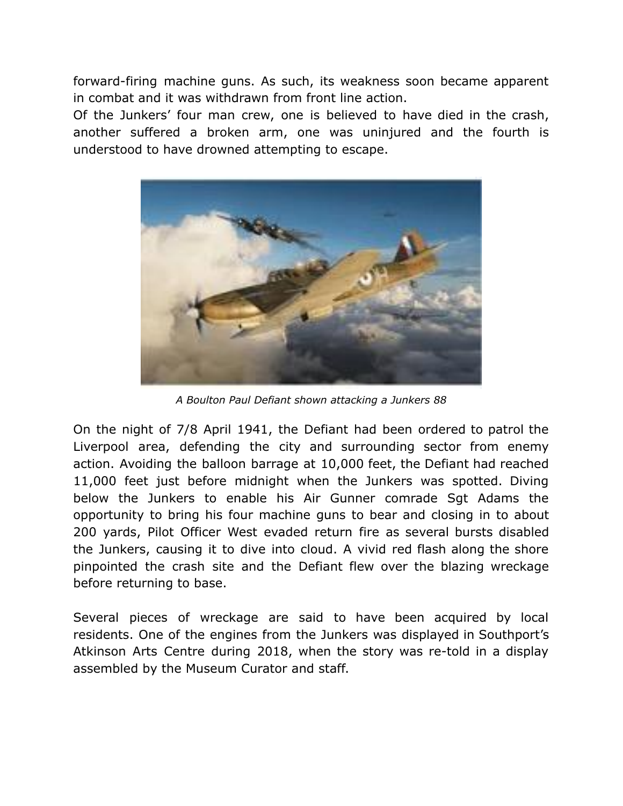forward-firing machine guns. As such, its weakness soon became apparent in combat and it was withdrawn from front line action.

Of the Junkers' four man crew, one is believed to have died in the crash, another suffered a broken arm, one was uninjured and the fourth is understood to have drowned attempting to escape.



*A Boulton Paul Defiant shown attacking a Junkers 88*

On the night of 7/8 April 1941, the Defiant had been ordered to patrol the Liverpool area, defending the city and surrounding sector from enemy action. Avoiding the balloon barrage at 10,000 feet, the Defiant had reached 11,000 feet just before midnight when the Junkers was spotted. Diving below the Junkers to enable his Air Gunner comrade Sgt Adams the opportunity to bring his four machine guns to bear and closing in to about 200 yards, Pilot Officer West evaded return fire as several bursts disabled the Junkers, causing it to dive into cloud. A vivid red flash along the shore pinpointed the crash site and the Defiant flew over the blazing wreckage before returning to base.

Several pieces of wreckage are said to have been acquired by local residents. One of the engines from the Junkers was displayed in Southport's Atkinson Arts Centre during 2018, when the story was re-told in a display assembled by the Museum Curator and staff.